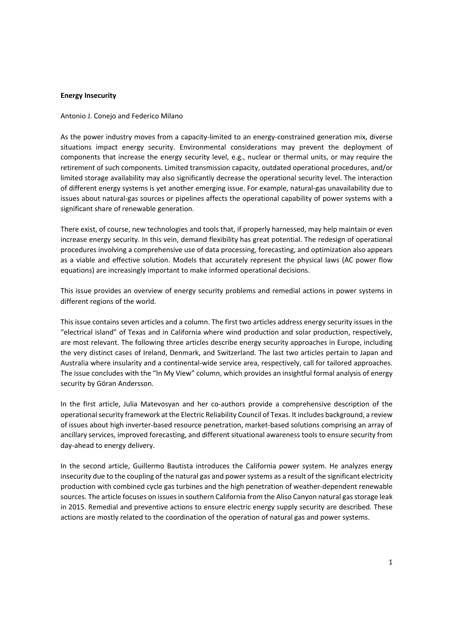## **Energy Insecurity**

## Antonio J. Conejo and Federico Milano

As the power industry moves from a capacity-limited to an energy-constrained generation mix, diverse situations impact energy security. Environmental considerations may prevent the deployment of components that increase the energy security level, e.g., nuclear or thermal units, or may require the retirement of such components. Limited transmission capacity, outdated operational procedures, and/or limited storage availability may also significantly decrease the operational security level. The interaction of different energy systems is yet another emerging issue. For example, natural-gas unavailability due to issues about natural-gas sources or pipelines affects the operational capability of power systems with a significant share of renewable generation.

There exist, of course, new technologies and tools that, if properly harnessed, may help maintain or even increase energy security. In this vein, demand flexibility has great potential. The redesign of operational procedures involving a comprehensive use of data processing, forecasting, and optimization also appears as a viable and effective solution. Models that accurately represent the physical laws (AC power flow equations) are increasingly important to make informed operational decisions.

This issue provides an overview of energy security problems and remedial actions in power systems in different regions of the world.

This issue contains seven articles and a column. The first two articles address energy security issues in the "electrical island" of Texas and in California where wind production and solar production, respectively, are most relevant. The following three articles describe energy security approaches in Europe, including the very distinct cases of Ireland, Denmark, and Switzerland. The last two articles pertain to Japan and Australia where insularity and a continental-wide service area, respectively, call for tailored approaches. The issue concludes with the "In My View" column, which provides an insightful formal analysis of energy security by Göran Andersson.

In the first article, Julia Matevosyan and her co-authors provide a comprehensive description of the operational security framework at the Electric Reliability Council of Texas. It includes background, a review of issues about high inverter-based resource penetration, market-based solutions comprising an array of ancillary services, improved forecasting, and different situational awareness tools to ensure security from day-ahead to energy delivery.

In the second article, Guillermo Bautista introduces the California power system. He analyzes energy insecurity due to the coupling of the natural gas and power systems as a result of the significant electricity production with combined cycle gas turbines and the high penetration of weather-dependent renewable sources. The article focuses on issues in southern California from the Aliso Canyon natural gas storage leak in 2015. Remedial and preventive actions to ensure electric energy supply security are described. These actions are mostly related to the coordination of the operation of natural gas and power systems.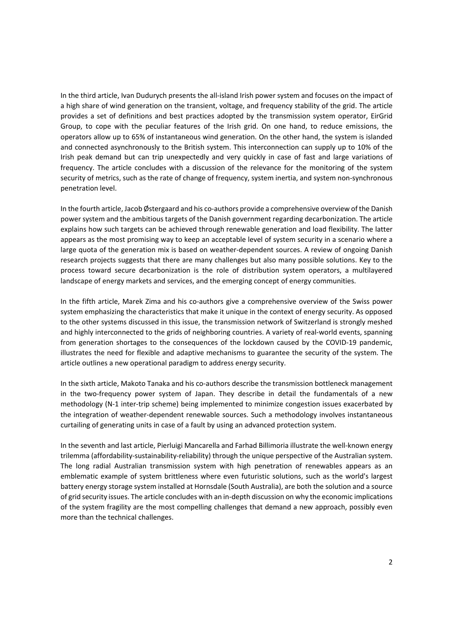In the third article, Ivan Dudurych presents the all-island Irish power system and focuses on the impact of a high share of wind generation on the transient, voltage, and frequency stability of the grid. The article provides a set of definitions and best practices adopted by the transmission system operator, EirGrid Group, to cope with the peculiar features of the Irish grid. On one hand, to reduce emissions, the operators allow up to 65% of instantaneous wind generation. On the other hand, the system is islanded and connected asynchronously to the British system. This interconnection can supply up to 10% of the Irish peak demand but can trip unexpectedly and very quickly in case of fast and large variations of frequency. The article concludes with a discussion of the relevance for the monitoring of the system security of metrics, such as the rate of change of frequency, system inertia, and system non-synchronous penetration level.

In the fourth article, Jacob Østergaard and his co-authors provide a comprehensive overview of the Danish power system and the ambitious targets of the Danish government regarding decarbonization. The article explains how such targets can be achieved through renewable generation and load flexibility. The latter appears as the most promising way to keep an acceptable level of system security in a scenario where a large quota of the generation mix is based on weather-dependent sources. A review of ongoing Danish research projects suggests that there are many challenges but also many possible solutions. Key to the process toward secure decarbonization is the role of distribution system operators, a multilayered landscape of energy markets and services, and the emerging concept of energy communities.

In the fifth article, Marek Zima and his co-authors give a comprehensive overview of the Swiss power system emphasizing the characteristics that make it unique in the context of energy security. As opposed to the other systems discussed in this issue, the transmission network of Switzerland is strongly meshed and highly interconnected to the grids of neighboring countries. A variety of real-world events, spanning from generation shortages to the consequences of the lockdown caused by the COVID-19 pandemic, illustrates the need for flexible and adaptive mechanisms to guarantee the security of the system. The article outlines a new operational paradigm to address energy security.

In the sixth article, Makoto Tanaka and his co-authors describe the transmission bottleneck management in the two-frequency power system of Japan. They describe in detail the fundamentals of a new methodology (N-1 inter-trip scheme) being implemented to minimize congestion issues exacerbated by the integration of weather-dependent renewable sources. Such a methodology involves instantaneous curtailing of generating units in case of a fault by using an advanced protection system.

In the seventh and last article, Pierluigi Mancarella and Farhad Billimoria illustrate the well-known energy trilemma (affordability-sustainability-reliability) through the unique perspective of the Australian system. The long radial Australian transmission system with high penetration of renewables appears as an emblematic example of system brittleness where even futuristic solutions, such as the world's largest battery energy storage system installed at Hornsdale (South Australia), are both the solution and a source of grid security issues. The article concludes with an in-depth discussion on why the economic implications of the system fragility are the most compelling challenges that demand a new approach, possibly even more than the technical challenges.